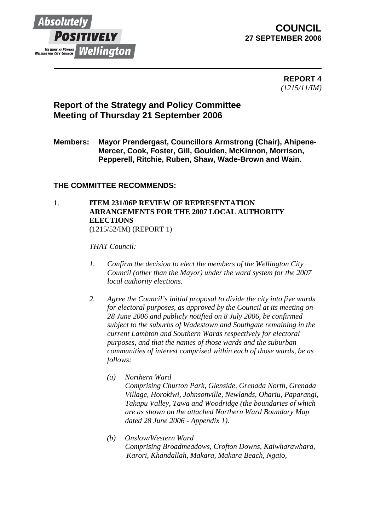

# **COUNCIL 27 SEPTEMBER 2006**

 **REPORT 4** *(1215/11/IM)* 

# **Report of the Strategy and Policy Committee Meeting of Thursday 21 September 2006**

**Members: Mayor Prendergast, Councillors Armstrong (Chair), Ahipene-Mercer, Cook, Foster, Gill, Goulden, McKinnon, Morrison, Pepperell, Ritchie, Ruben, Shaw, Wade-Brown and Wain.** 

## **THE COMMITTEE RECOMMENDS:**

### 1. **ITEM 231/06P REVIEW OF REPRESENTATION ARRANGEMENTS FOR THE 2007 LOCAL AUTHORITY ELECTIONS**  (1215/52/IM) (REPORT 1)

### *THAT Council:*

- *1. Confirm the decision to elect the members of the Wellington City Council (other than the Mayor) under the ward system for the 2007 local authority elections.*
- *2. Agree the Council's initial proposal to divide the city into five wards for electoral purposes, as approved by the Council at its meeting on 28 June 2006 and publicly notified on 8 July 2006, be confirmed subject to the suburbs of Wadestown and Southgate remaining in the current Lambton and Southern Wards respectively for electoral purposes, and that the names of those wards and the suburban communities of interest comprised within each of those wards, be as follows:* 
	- *(a) Northern Ward Comprising Churton Park, Glenside, Grenada North, Grenada Village, Horokiwi, Johnsonville, Newlands, Ohariu, Paparangi, Takapu Valley, Tawa and Woodridge (the boundaries of which are as shown on the attached Northern Ward Boundary Map dated 28 June 2006 - Appendix 1).*
	- *(b) Onslow/Western Ward Comprising Broadmeadows, Crofton Downs, Kaiwharawhara, Karori, Khandallah, Makara, Makara Beach, Ngaio,*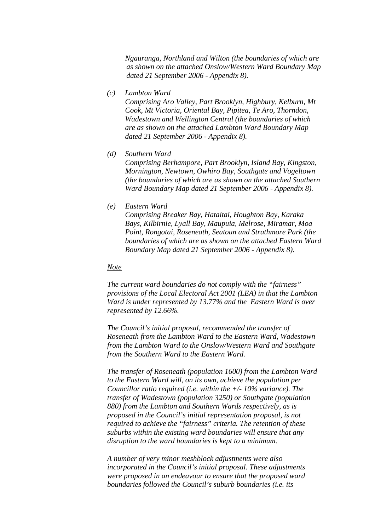*Ngauranga, Northland and Wilton (the boundaries of which are as shown on the attached Onslow/Western Ward Boundary Map dated 21 September 2006 - Appendix 8).* 

*(c) Lambton Ward* 

*Comprising Aro Valley, Part Brooklyn, Highbury, Kelburn, Mt Cook, Mt Victoria, Oriental Bay, Pipitea, Te Aro, Thorndon, Wadestown and Wellington Central (the boundaries of which are as shown on the attached Lambton Ward Boundary Map dated 21 September 2006 - Appendix 8).* 

*(d) Southern Ward* 

*Comprising Berhampore, Part Brooklyn, Island Bay, Kingston, Mornington, Newtown, Owhiro Bay, Southgate and Vogeltown (the boundaries of which are as shown on the attached Southern Ward Boundary Map dated 21 September 2006 - Appendix 8).* 

*(e) Eastern Ward* 

*Comprising Breaker Bay, Hataitai, Houghton Bay, Karaka Bays, Kilbirnie, Lyall Bay, Maupuia, Melrose, Miramar, Moa Point, Rongotai, Roseneath, Seatoun and Strathmore Park (the boundaries of which are as shown on the attached Eastern Ward Boundary Map dated 21 September 2006 - Appendix 8).* 

#### *Note*

*The current ward boundaries do not comply with the "fairness" provisions of the Local Electoral Act 2001 (LEA) in that the Lambton Ward is under represented by 13.77% and the Eastern Ward is over represented by 12.66%.* 

*The Council's initial proposal, recommended the transfer of Roseneath from the Lambton Ward to the Eastern Ward, Wadestown from the Lambton Ward to the Onslow/Western Ward and Southgate from the Southern Ward to the Eastern Ward.* 

*The transfer of Roseneath (population 1600) from the Lambton Ward to the Eastern Ward will, on its own, achieve the population per Councillor ratio required (i.e. within the +/- 10% variance). The transfer of Wadestown (population 3250) or Southgate (population 880) from the Lambton and Southern Wards respectively, as is proposed in the Council's initial representation proposal, is not required to achieve the "fairness" criteria. The retention of these suburbs within the existing ward boundaries will ensure that any disruption to the ward boundaries is kept to a minimum.* 

*A number of very minor meshblock adjustments were also incorporated in the Council's initial proposal. These adjustments were proposed in an endeavour to ensure that the proposed ward boundaries followed the Council's suburb boundaries (i.e. its*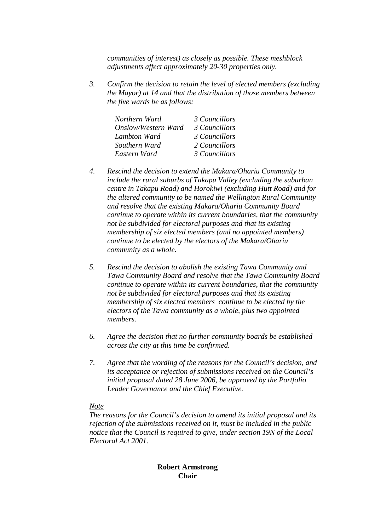*communities of interest) as closely as possible. These meshblock adjustments affect approximately 20-30 properties only.* 

*3. Confirm the decision to retain the level of elected members (excluding the Mayor) at 14 and that the distribution of those members between the five wards be as follows:* 

| 3 Councillors |
|---------------|
| 3 Councillors |
| 3 Councillors |
| 2 Councillors |
| 3 Councillors |
|               |

- *4. Rescind the decision to extend the Makara/Ohariu Community to include the rural suburbs of Takapu Valley (excluding the suburban centre in Takapu Road) and Horokiwi (excluding Hutt Road) and for the altered community to be named the Wellington Rural Community and resolve that the existing Makara/Ohariu Community Board continue to operate within its current boundaries, that the community not be subdivided for electoral purposes and that its existing membership of six elected members (and no appointed members) continue to be elected by the electors of the Makara/Ohariu community as a whole.*
- *5. Rescind the decision to abolish the existing Tawa Community and Tawa Community Board and resolve that the Tawa Community Board continue to operate within its current boundaries, that the community not be subdivided for electoral purposes and that its existing membership of six elected members continue to be elected by the electors of the Tawa community as a whole, plus two appointed members.*
- *6. Agree the decision that no further community boards be established across the city at this time be confirmed.*
- *7. Agree that the wording of the reasons for the Council's decision, and its acceptance or rejection of submissions received on the Council's initial proposal dated 28 June 2006, be approved by the Portfolio Leader Governance and the Chief Executive.*

#### *Note*

*The reasons for the Council's decision to amend its initial proposal and its rejection of the submissions received on it, must be included in the public notice that the Council is required to give, under section 19N of the Local Electoral Act 2001.* 

## **Robert Armstrong Chair**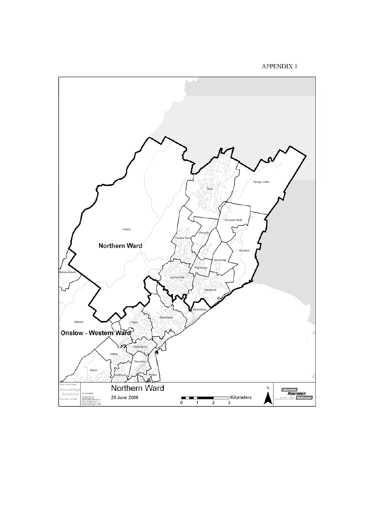